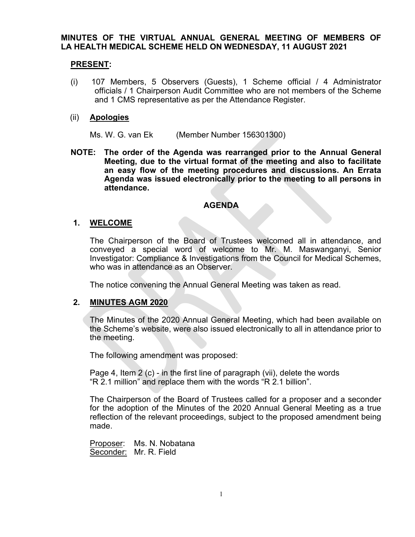## MINUTES OF THE VIRTUAL ANNUAL GENERAL MEETING OF MEMBERS OF LA HEALTH MEDICAL SCHEME HELD ON WEDNESDAY, 11 AUGUST 2021

# PRESENT:

(i) 107 Members, 5 Observers (Guests), 1 Scheme official / 4 Administrator officials / 1 Chairperson Audit Committee who are not members of the Scheme and 1 CMS representative as per the Attendance Register.

## (ii) Apologies

Ms. W. G. van Ek (Member Number 156301300)

NOTE: The order of the Agenda was rearranged prior to the Annual General Meeting, due to the virtual format of the meeting and also to facilitate an easy flow of the meeting procedures and discussions. An Errata Agenda was issued electronically prior to the meeting to all persons in attendance.

## AGENDA

# 1. WELCOME

 The Chairperson of the Board of Trustees welcomed all in attendance, and conveyed a special word of welcome to Mr. M. Maswanganyi, Senior Investigator: Compliance & Investigations from the Council for Medical Schemes, who was in attendance as an Observer.

The notice convening the Annual General Meeting was taken as read.

## 2. MINUTES AGM 2020

 The Minutes of the 2020 Annual General Meeting, which had been available on the Scheme's website, were also issued electronically to all in attendance prior to the meeting.

The following amendment was proposed:

 Page 4, Item 2 (c) - in the first line of paragraph (vii), delete the words "R 2.1 million" and replace them with the words "R 2.1 billion".

The Chairperson of the Board of Trustees called for a proposer and a seconder for the adoption of the Minutes of the 2020 Annual General Meeting as a true reflection of the relevant proceedings, subject to the proposed amendment being made.

Proposer: Ms. N. Nobatana Seconder: Mr. R. Field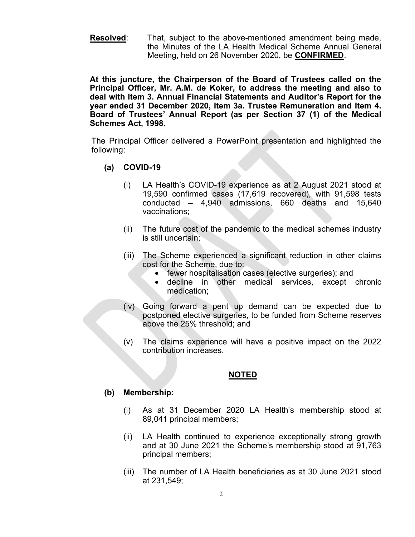Resolved: That, subject to the above-mentioned amendment being made, the Minutes of the LA Health Medical Scheme Annual General Meeting, held on 26 November 2020, be CONFIRMED.

At this juncture, the Chairperson of the Board of Trustees called on the Principal Officer, Mr. A.M. de Koker, to address the meeting and also to deal with Item 3. Annual Financial Statements and Auditor's Report for the year ended 31 December 2020, Item 3a. Trustee Remuneration and Item 4. Board of Trustees' Annual Report (as per Section 37 (1) of the Medical Schemes Act, 1998.

The Principal Officer delivered a PowerPoint presentation and highlighted the following:

- (a) COVID-19
	- (i) LA Health's COVID-19 experience as at 2 August 2021 stood at 19,590 confirmed cases (17,619 recovered), with 91,598 tests conducted – 4,940 admissions, 660 deaths and 15,640 vaccinations;
	- (ii) The future cost of the pandemic to the medical schemes industry is still uncertain;
	- (iii) The Scheme experienced a significant reduction in other claims cost for the Scheme, due to:
		- fewer hospitalisation cases (elective surgeries); and
		- decline in other medical services, except chronic medication;
	- (iv) Going forward a pent up demand can be expected due to postponed elective surgeries, to be funded from Scheme reserves above the 25% threshold; and
	- (v) The claims experience will have a positive impact on the 2022 contribution increases.

## NOTED

## (b) Membership:

- (i) As at 31 December 2020 LA Health's membership stood at 89,041 principal members;
- (ii) LA Health continued to experience exceptionally strong growth and at 30 June 2021 the Scheme's membership stood at 91,763 principal members;
- (iii) The number of LA Health beneficiaries as at 30 June 2021 stood at 231,549;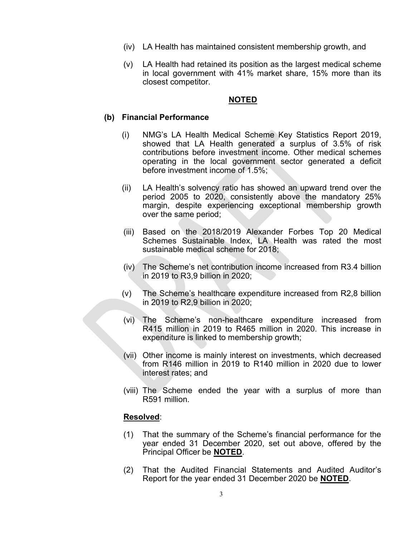- (iv) LA Health has maintained consistent membership growth, and
- (v) LA Health had retained its position as the largest medical scheme in local government with 41% market share, 15% more than its closest competitor.

## NOTED

### (b) Financial Performance

- (i) NMG's LA Health Medical Scheme Key Statistics Report 2019, showed that LA Health generated a surplus of 3.5% of risk contributions before investment income. Other medical schemes operating in the local government sector generated a deficit before investment income of 1.5%;
- (ii) LA Health's solvency ratio has showed an upward trend over the period 2005 to 2020, consistently above the mandatory 25% margin, despite experiencing exceptional membership growth over the same period;
- (iii) Based on the 2018/2019 Alexander Forbes Top 20 Medical Schemes Sustainable Index, LA Health was rated the most sustainable medical scheme for 2018;
- (iv) The Scheme's net contribution income increased from R3.4 billion in 2019 to R3,9 billion in 2020;
- (v) The Scheme's healthcare expenditure increased from R2,8 billion in 2019 to R2,9 billion in 2020;
- (vi) The Scheme's non-healthcare expenditure increased from R415 million in 2019 to R465 million in 2020. This increase in expenditure is linked to membership growth;
- (vii) Other income is mainly interest on investments, which decreased from R146 million in 2019 to R140 million in 2020 due to lower interest rates; and
- (viii) The Scheme ended the year with a surplus of more than R591 million.

#### Resolved:

- (1) That the summary of the Scheme's financial performance for the year ended 31 December 2020, set out above, offered by the Principal Officer be NOTED.
- (2) That the Audited Financial Statements and Audited Auditor's Report for the year ended 31 December 2020 be NOTED.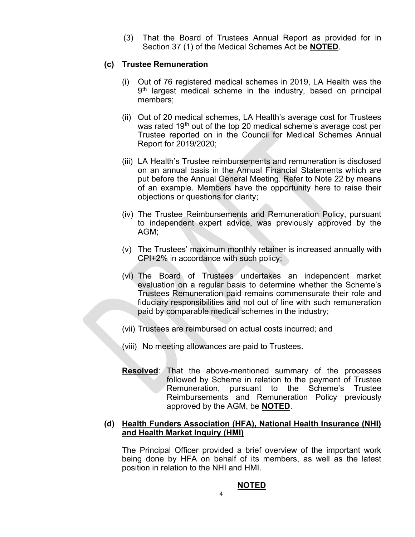(3) That the Board of Trustees Annual Report as provided for in Section 37 (1) of the Medical Schemes Act be NOTED.

# (c) Trustee Remuneration

- (i) Out of 76 registered medical schemes in 2019, LA Health was the 9<sup>th</sup> largest medical scheme in the industry, based on principal members;
- (ii) Out of 20 medical schemes, LA Health's average cost for Trustees was rated  $19<sup>th</sup>$  out of the top 20 medical scheme's average cost per Trustee reported on in the Council for Medical Schemes Annual Report for 2019/2020;
- (iii) LA Health's Trustee reimbursements and remuneration is disclosed on an annual basis in the Annual Financial Statements which are put before the Annual General Meeting. Refer to Note 22 by means of an example. Members have the opportunity here to raise their objections or questions for clarity;
- (iv) The Trustee Reimbursements and Remuneration Policy, pursuant to independent expert advice, was previously approved by the AGM;
- (v) The Trustees' maximum monthly retainer is increased annually with CPI+2% in accordance with such policy;
- (vi) The Board of Trustees undertakes an independent market evaluation on a regular basis to determine whether the Scheme's Trustees Remuneration paid remains commensurate their role and fiduciary responsibilities and not out of line with such remuneration paid by comparable medical schemes in the industry;
- (vii) Trustees are reimbursed on actual costs incurred; and
- (viii) No meeting allowances are paid to Trustees.
- Resolved: That the above-mentioned summary of the processes followed by Scheme in relation to the payment of Trustee Remuneration, pursuant to the Scheme's Trustee Reimbursements and Remuneration Policy previously approved by the AGM, be **NOTED**.

### (d) Health Funders Association (HFA), National Health Insurance (NHI) and Health Market Inquiry (HMI)

The Principal Officer provided a brief overview of the important work being done by HFA on behalf of its members, as well as the latest position in relation to the NHI and HMI.

#### NOTED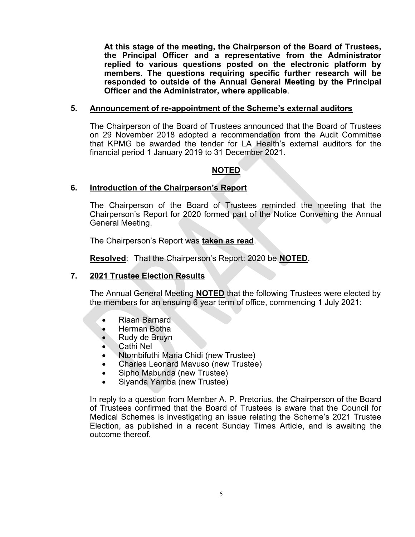At this stage of the meeting, the Chairperson of the Board of Trustees, the Principal Officer and a representative from the Administrator replied to various questions posted on the electronic platform by members. The questions requiring specific further research will be responded to outside of the Annual General Meeting by the Principal Officer and the Administrator, where applicable.

## 5. Announcement of re-appointment of the Scheme's external auditors

 The Chairperson of the Board of Trustees announced that the Board of Trustees on 29 November 2018 adopted a recommendation from the Audit Committee that KPMG be awarded the tender for LA Health's external auditors for the financial period 1 January 2019 to 31 December 2021.

# NOTED

### 6. Introduction of the Chairperson's Report

 The Chairperson of the Board of Trustees reminded the meeting that the Chairperson's Report for 2020 formed part of the Notice Convening the Annual General Meeting.

The Chairperson's Report was taken as read.

Resolved: That the Chairperson's Report: 2020 be NOTED.

## 7. 2021 Trustee Election Results

The Annual General Meeting **NOTED** that the following Trustees were elected by the members for an ensuing 6 year term of office, commencing 1 July 2021:

- Riaan Barnard
- Herman Botha
- Rudy de Bruyn
- Cathi Nel
- Ntombifuthi Maria Chidi (new Trustee)
- Charles Leonard Mavuso (new Trustee)
- Sipho Mabunda (new Trustee)
- Siyanda Yamba (new Trustee)

 In reply to a question from Member A. P. Pretorius, the Chairperson of the Board of Trustees confirmed that the Board of Trustees is aware that the Council for Medical Schemes is investigating an issue relating the Scheme's 2021 Trustee Election, as published in a recent Sunday Times Article, and is awaiting the outcome thereof.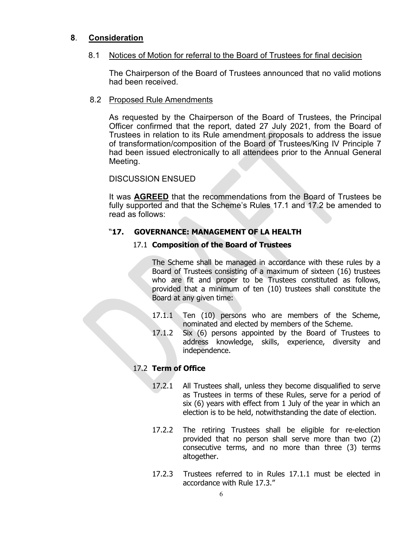# 8. Consideration

## 8.1 Notices of Motion for referral to the Board of Trustees for final decision

 The Chairperson of the Board of Trustees announced that no valid motions had been received.

## 8.2 Proposed Rule Amendments

 As requested by the Chairperson of the Board of Trustees, the Principal Officer confirmed that the report, dated 27 July 2021, from the Board of Trustees in relation to its Rule amendment proposals to address the issue of transformation/composition of the Board of Trustees/King IV Principle 7 had been issued electronically to all attendees prior to the Annual General Meeting.

### DISCUSSION ENSUED

It was AGREED that the recommendations from the Board of Trustees be fully supported and that the Scheme's Rules 17.1 and 17.2 be amended to read as follows:

## "17. GOVERNANCE: MANAGEMENT OF LA HEALTH

## 17.1 Composition of the Board of Trustees

 The Scheme shall be managed in accordance with these rules by a Board of Trustees consisting of a maximum of sixteen (16) trustees who are fit and proper to be Trustees constituted as follows, provided that a minimum of ten (10) trustees shall constitute the Board at any given time:

- 17.1.1 Ten (10) persons who are members of the Scheme, nominated and elected by members of the Scheme.
- 17.1.2 Six (6) persons appointed by the Board of Trustees to address knowledge, skills, experience, diversity and independence.

## 17.2 Term of Office

- 17.2.1 All Trustees shall, unless they become disqualified to serve as Trustees in terms of these Rules, serve for a period of six (6) years with effect from 1 July of the year in which an election is to be held, notwithstanding the date of election.
- 17.2.2 The retiring Trustees shall be eligible for re-election provided that no person shall serve more than two (2) consecutive terms, and no more than three (3) terms altogether.
- 17.2.3 Trustees referred to in Rules 17.1.1 must be elected in accordance with Rule 17.3."